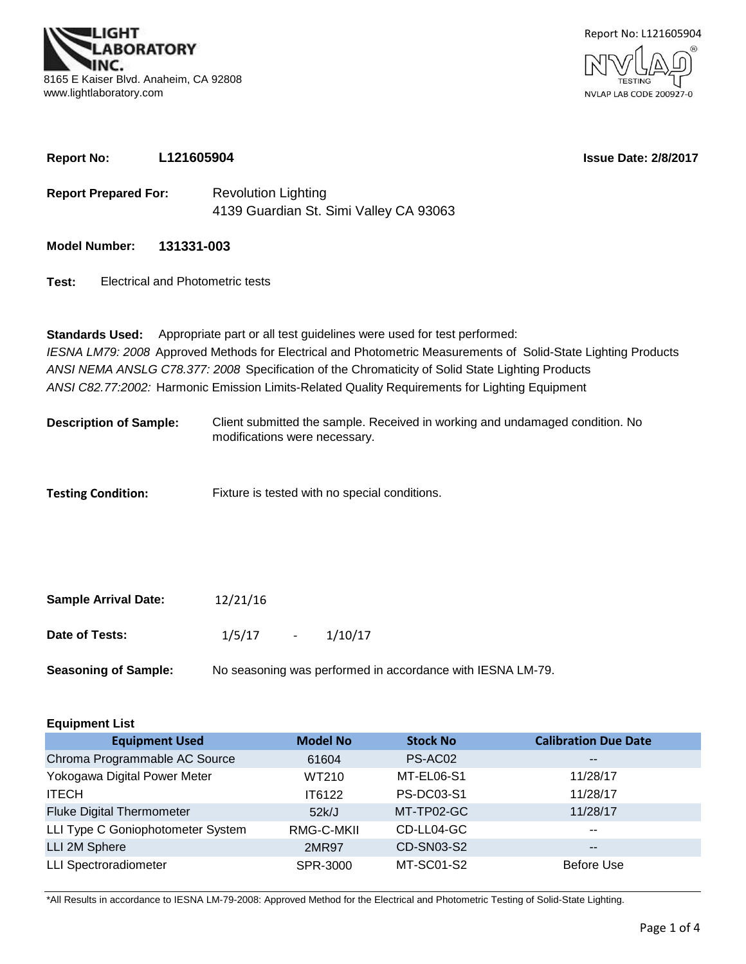

**Report No: L121605904**



**Issue Date: 2/8/2017**

| <b>Report Prepared For:</b>               | <b>Revolution Lighting</b><br>4139 Guardian St. Simi Valley CA 93063                                           |  |  |  |  |  |  |  |
|-------------------------------------------|----------------------------------------------------------------------------------------------------------------|--|--|--|--|--|--|--|
| <b>Model Number:</b>                      | 131331-003                                                                                                     |  |  |  |  |  |  |  |
| Test:<br>Electrical and Photometric tests |                                                                                                                |  |  |  |  |  |  |  |
|                                           | <b>Standards Used:</b> Appropriate part or all test guidelines were used for test performed:                   |  |  |  |  |  |  |  |
|                                           | IESNA LM79: 2008 Approved Methods for Electrical and Photometric Measurements of Solid-State Lighting Products |  |  |  |  |  |  |  |
|                                           | ANSI NEMA ANSLG C78.377: 2008 Specification of the Chromaticity of Solid State Lighting Products               |  |  |  |  |  |  |  |
|                                           | ANSI C82.77:2002: Harmonic Emission Limits-Related Quality Requirements for Lighting Equipment                 |  |  |  |  |  |  |  |
| Docerintion of Sample:                    | Client submitted the sample. Received in working and undamaged condition. No                                   |  |  |  |  |  |  |  |

Client submitted the sample. Received in working and undamaged condition. No modifications were necessary. **Description of Sample:**

**Testing Condition:** Fixture is tested with no special conditions.

| <b>Sample Arrival Date:</b> | 12/21/16   |                                                            |
|-----------------------------|------------|------------------------------------------------------------|
| Date of Tests:              | $1/5/17$ - | 1/10/17                                                    |
| <b>Seasoning of Sample:</b> |            | No seasoning was performed in accordance with IESNA LM-79. |

| <b>Equipment List</b>             |                 |                   |                             |  |  |  |  |  |  |  |
|-----------------------------------|-----------------|-------------------|-----------------------------|--|--|--|--|--|--|--|
| <b>Equipment Used</b>             | <b>Model No</b> | <b>Stock No</b>   | <b>Calibration Due Date</b> |  |  |  |  |  |  |  |
| Chroma Programmable AC Source     | 61604           | PS-AC02           | $- -$                       |  |  |  |  |  |  |  |
| Yokogawa Digital Power Meter      | WT210           | MT-EL06-S1        | 11/28/17                    |  |  |  |  |  |  |  |
| <b>ITECH</b>                      | IT6122          | <b>PS-DC03-S1</b> | 11/28/17                    |  |  |  |  |  |  |  |
| <b>Fluke Digital Thermometer</b>  | 52k/J           | MT-TP02-GC        | 11/28/17                    |  |  |  |  |  |  |  |
| LLI Type C Goniophotometer System | RMG-C-MKII      | CD-LL04-GC        | $- -$                       |  |  |  |  |  |  |  |
| LLI 2M Sphere                     | <b>2MR97</b>    | CD-SN03-S2        | $- -$                       |  |  |  |  |  |  |  |
| <b>LLI Spectroradiometer</b>      | SPR-3000        | MT-SC01-S2        | <b>Before Use</b>           |  |  |  |  |  |  |  |

\*All Results in accordance to IESNA LM-79-2008: Approved Method for the Electrical and Photometric Testing of Solid-State Lighting.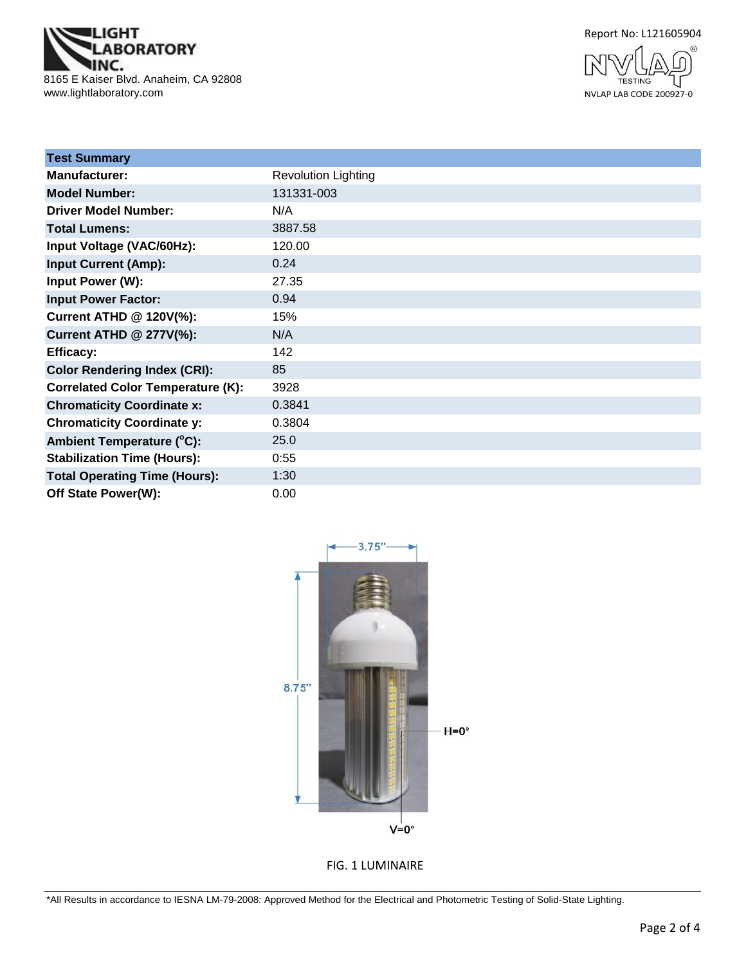





| <b>Test Summary</b>                      |                            |
|------------------------------------------|----------------------------|
| <b>Manufacturer:</b>                     | <b>Revolution Lighting</b> |
| <b>Model Number:</b>                     | 131331-003                 |
| <b>Driver Model Number:</b>              | N/A                        |
| <b>Total Lumens:</b>                     | 3887.58                    |
| Input Voltage (VAC/60Hz):                | 120.00                     |
| <b>Input Current (Amp):</b>              | 0.24                       |
| <b>Input Power (W):</b>                  | 27.35                      |
| <b>Input Power Factor:</b>               | 0.94                       |
| <b>Current ATHD @ 120V(%):</b>           | 15%                        |
| <b>Current ATHD @ 277V(%):</b>           | N/A                        |
| <b>Efficacy:</b>                         | 142                        |
| <b>Color Rendering Index (CRI):</b>      | 85                         |
| <b>Correlated Color Temperature (K):</b> | 3928                       |
| <b>Chromaticity Coordinate x:</b>        | 0.3841                     |
| <b>Chromaticity Coordinate y:</b>        | 0.3804                     |
| Ambient Temperature (°C):                | 25.0                       |
| <b>Stabilization Time (Hours):</b>       | 0:55                       |
| <b>Total Operating Time (Hours):</b>     | 1:30                       |
| Off State Power(W):                      | 0.00                       |



FIG. 1 LUMINAIRE

\*All Results in accordance to IESNA LM-79-2008: Approved Method for the Electrical and Photometric Testing of Solid-State Lighting.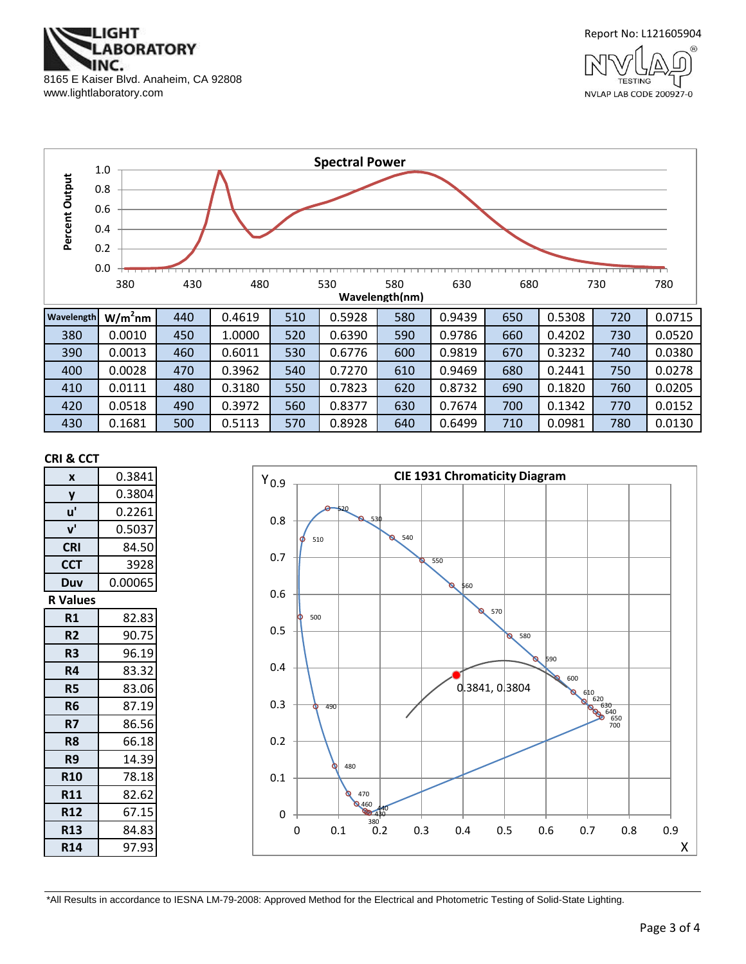



NVLAP LAB CODE 200927-0



430 | 0.1681 | 500 | 0.5113 | 570 | 0.8928 | 640 | 0.6499 | 710 | 0.0981 | 780 | 0.0130

#### **CRI & CCT**

| X               | 0.3841  |
|-----------------|---------|
| y               | 0.3804  |
| u'              | 0.2261  |
| ${\bf v}'$      | 0.5037  |
| <b>CRI</b>      | 84.50   |
| <b>CCT</b>      | 3928    |
| Duv             | 0.00065 |
| <b>R</b> Values |         |
| R1              | 82.83   |
| R <sub>2</sub>  | 90.75   |
| R3              | 96.19   |
| R4              | 83.32   |
| <b>R5</b>       | 83.06   |
| R6              | 87.19   |
| R7              | 86.56   |
| R <sub>8</sub>  | 66.18   |
| R9              | 14.39   |
| <b>R10</b>      | 78.18   |
| <b>R11</b>      | 82.62   |
| <b>R12</b>      | 67.15   |
| <b>R13</b>      | 84.83   |
| <b>R14</b>      | 97.93   |



\*All Results in accordance to IESNA LM-79-2008: Approved Method for the Electrical and Photometric Testing of Solid-State Lighting.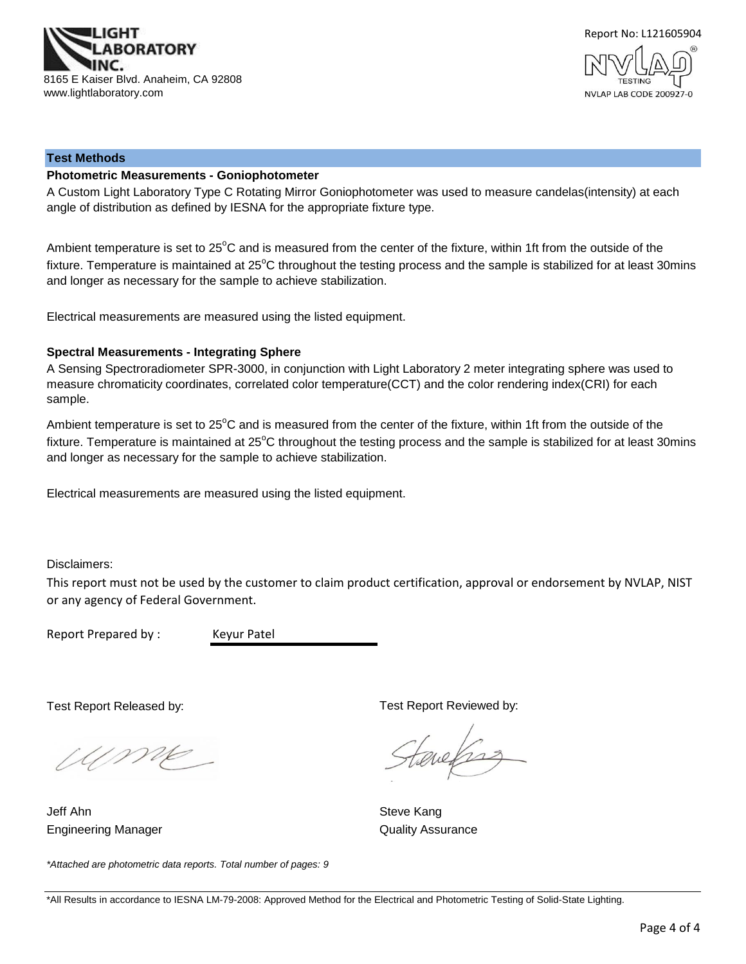



#### **Test Methods**

#### **Photometric Measurements - Goniophotometer**

A Custom Light Laboratory Type C Rotating Mirror Goniophotometer was used to measure candelas(intensity) at each angle of distribution as defined by IESNA for the appropriate fixture type.

Ambient temperature is set to 25°C and is measured from the center of the fixture, within 1ft from the outside of the fixture. Temperature is maintained at  $25^{\circ}$ C throughout the testing process and the sample is stabilized for at least 30mins and longer as necessary for the sample to achieve stabilization.

Electrical measurements are measured using the listed equipment.

#### **Spectral Measurements - Integrating Sphere**

A Sensing Spectroradiometer SPR-3000, in conjunction with Light Laboratory 2 meter integrating sphere was used to measure chromaticity coordinates, correlated color temperature(CCT) and the color rendering index(CRI) for each sample.

Ambient temperature is set to 25°C and is measured from the center of the fixture, within 1ft from the outside of the fixture. Temperature is maintained at  $25^{\circ}$ C throughout the testing process and the sample is stabilized for at least 30mins and longer as necessary for the sample to achieve stabilization.

Electrical measurements are measured using the listed equipment.

Disclaimers:

This report must not be used by the customer to claim product certification, approval or endorsement by NVLAP, NIST or any agency of Federal Government.

Report Prepared by : Keyur Patel

Test Report Released by:

Ump

Engineering Manager **Contract Contract Contract Contract Contract Contract Contract Contract Contract Contract Contract Contract Contract Contract Contract Contract Contract Contract Contract Contract Contract Contract Con** Jeff Ahn Steve Kang

Test Report Reviewed by:

evelses

*\*Attached are photometric data reports. Total number of pages: 9*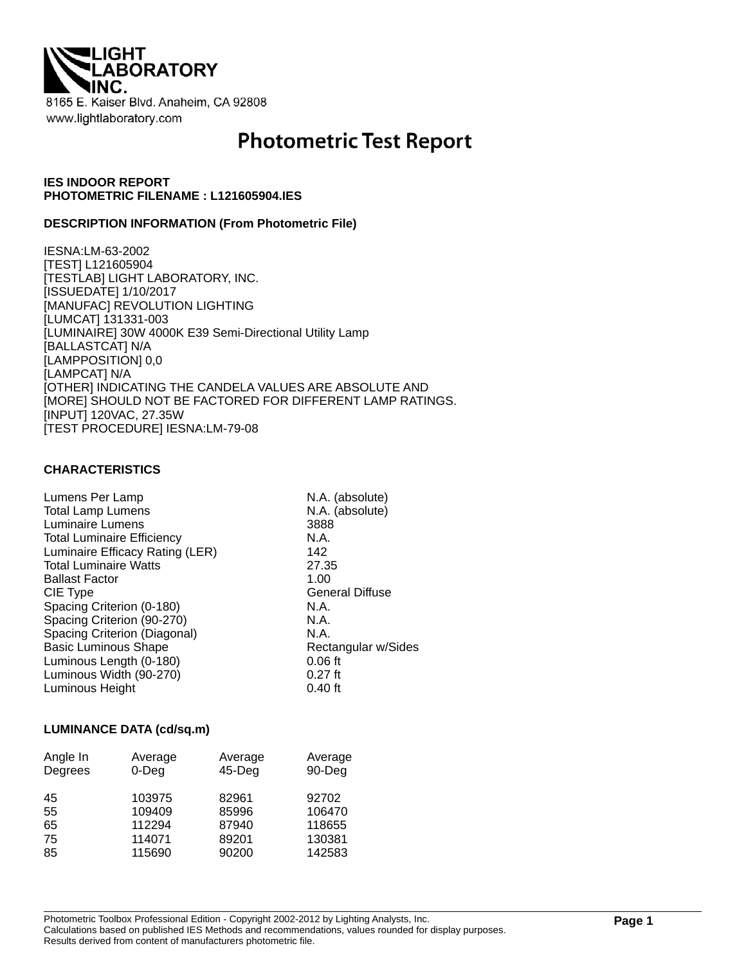

# **Photometric Test Report**

## **IES INDOOR REPORT PHOTOMETRIC FILENAME : L121605904.IES**

#### **DESCRIPTION INFORMATION (From Photometric File)**

IESNA:LM-63-2002 [TEST] L121605904 [TESTLAB] LIGHT LABORATORY, INC. [ISSUEDATE] 1/10/2017 [MANUFAC] REVOLUTION LIGHTING [LUMCAT] 131331-003 [LUMINAIRE] 30W 4000K E39 Semi-Directional Utility Lamp [BALLASTCAT] N/A [LAMPPOSITION] 0,0 [LAMPCAT] N/A [OTHER] INDICATING THE CANDELA VALUES ARE ABSOLUTE AND [MORE] SHOULD NOT BE FACTORED FOR DIFFERENT LAMP RATINGS. [INPUT] 120VAC, 27.35W [TEST PROCEDURE] IESNA:LM-79-08

## **CHARACTERISTICS**

| Lumens Per Lamp                   | N.A. (absolute)        |
|-----------------------------------|------------------------|
| <b>Total Lamp Lumens</b>          | N.A. (absolute)        |
| Luminaire Lumens                  | 3888                   |
| <b>Total Luminaire Efficiency</b> | N.A.                   |
| Luminaire Efficacy Rating (LER)   | 142                    |
| <b>Total Luminaire Watts</b>      | 27.35                  |
| <b>Ballast Factor</b>             | 1.00                   |
| CIE Type                          | <b>General Diffuse</b> |
| Spacing Criterion (0-180)         | N.A.                   |
| Spacing Criterion (90-270)        | N.A.                   |
| Spacing Criterion (Diagonal)      | N.A.                   |
| <b>Basic Luminous Shape</b>       | Rectangular w/Sides    |
| Luminous Length (0-180)           | $0.06$ ft              |
| Luminous Width (90-270)           | $0.27$ ft              |
| Luminous Height                   | $0.40$ ft              |

#### **LUMINANCE DATA (cd/sq.m)**

| Angle In<br>Degrees | Average<br>$0$ -Deg | Average<br>$45$ -Deg | Average<br>90-Deg |
|---------------------|---------------------|----------------------|-------------------|
| 45                  | 103975              | 82961                | 92702             |
| 55                  | 109409              | 85996                | 106470            |
| 65                  | 112294              | 87940                | 118655            |
| 75                  | 114071              | 89201                | 130381            |
| 85                  | 115690              | 90200                | 142583            |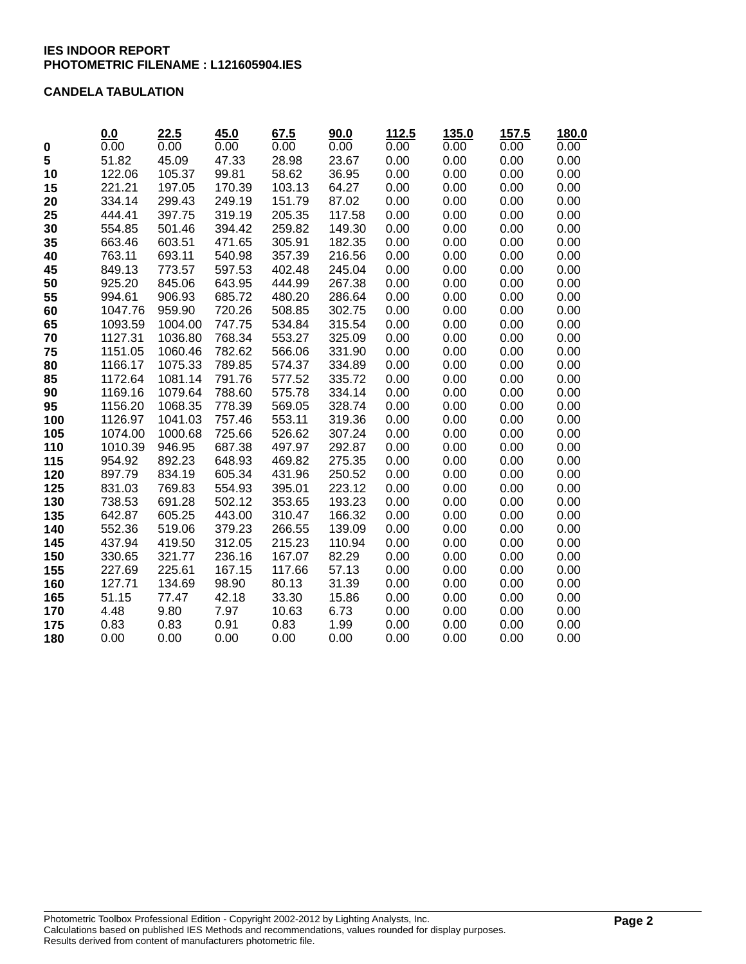## **CANDELA TABULATION**

|     | 0.0     | 22.5    | 45.0   | 67.5   | 90.0   | 112.5 | 135.0 | 157.5 | 180.0 |
|-----|---------|---------|--------|--------|--------|-------|-------|-------|-------|
| 0   | 0.00    | 0.00    | 0.00   | 0.00   | 0.00   | 0.00  | 0.00  | 0.00  | 0.00  |
| 5   | 51.82   | 45.09   | 47.33  | 28.98  | 23.67  | 0.00  | 0.00  | 0.00  | 0.00  |
| 10  | 122.06  | 105.37  | 99.81  | 58.62  | 36.95  | 0.00  | 0.00  | 0.00  | 0.00  |
| 15  | 221.21  | 197.05  | 170.39 | 103.13 | 64.27  | 0.00  | 0.00  | 0.00  | 0.00  |
| 20  | 334.14  | 299.43  | 249.19 | 151.79 | 87.02  | 0.00  | 0.00  | 0.00  | 0.00  |
| 25  | 444.41  | 397.75  | 319.19 | 205.35 | 117.58 | 0.00  | 0.00  | 0.00  | 0.00  |
| 30  | 554.85  | 501.46  | 394.42 | 259.82 | 149.30 | 0.00  | 0.00  | 0.00  | 0.00  |
| 35  | 663.46  | 603.51  | 471.65 | 305.91 | 182.35 | 0.00  | 0.00  | 0.00  | 0.00  |
| 40  | 763.11  | 693.11  | 540.98 | 357.39 | 216.56 | 0.00  | 0.00  | 0.00  | 0.00  |
| 45  | 849.13  | 773.57  | 597.53 | 402.48 | 245.04 | 0.00  | 0.00  | 0.00  | 0.00  |
| 50  | 925.20  | 845.06  | 643.95 | 444.99 | 267.38 | 0.00  | 0.00  | 0.00  | 0.00  |
| 55  | 994.61  | 906.93  | 685.72 | 480.20 | 286.64 | 0.00  | 0.00  | 0.00  | 0.00  |
| 60  | 1047.76 | 959.90  | 720.26 | 508.85 | 302.75 | 0.00  | 0.00  | 0.00  | 0.00  |
| 65  | 1093.59 | 1004.00 | 747.75 | 534.84 | 315.54 | 0.00  | 0.00  | 0.00  | 0.00  |
| 70  | 1127.31 | 1036.80 | 768.34 | 553.27 | 325.09 | 0.00  | 0.00  | 0.00  | 0.00  |
| 75  | 1151.05 | 1060.46 | 782.62 | 566.06 | 331.90 | 0.00  | 0.00  | 0.00  | 0.00  |
| 80  | 1166.17 | 1075.33 | 789.85 | 574.37 | 334.89 | 0.00  | 0.00  | 0.00  | 0.00  |
| 85  | 1172.64 | 1081.14 | 791.76 | 577.52 | 335.72 | 0.00  | 0.00  | 0.00  | 0.00  |
| 90  | 1169.16 | 1079.64 | 788.60 | 575.78 | 334.14 | 0.00  | 0.00  | 0.00  | 0.00  |
| 95  | 1156.20 | 1068.35 | 778.39 | 569.05 | 328.74 | 0.00  | 0.00  | 0.00  | 0.00  |
| 100 | 1126.97 | 1041.03 | 757.46 | 553.11 | 319.36 | 0.00  | 0.00  | 0.00  | 0.00  |
| 105 | 1074.00 | 1000.68 | 725.66 | 526.62 | 307.24 | 0.00  | 0.00  | 0.00  | 0.00  |
| 110 | 1010.39 | 946.95  | 687.38 | 497.97 | 292.87 | 0.00  | 0.00  | 0.00  | 0.00  |
| 115 | 954.92  | 892.23  | 648.93 | 469.82 | 275.35 | 0.00  | 0.00  | 0.00  | 0.00  |
| 120 | 897.79  | 834.19  | 605.34 | 431.96 | 250.52 | 0.00  | 0.00  | 0.00  | 0.00  |
| 125 | 831.03  | 769.83  | 554.93 | 395.01 | 223.12 | 0.00  | 0.00  | 0.00  | 0.00  |
| 130 | 738.53  | 691.28  | 502.12 | 353.65 | 193.23 | 0.00  | 0.00  | 0.00  | 0.00  |
| 135 | 642.87  | 605.25  | 443.00 | 310.47 | 166.32 | 0.00  | 0.00  | 0.00  | 0.00  |
| 140 | 552.36  | 519.06  | 379.23 | 266.55 | 139.09 | 0.00  | 0.00  | 0.00  | 0.00  |
| 145 | 437.94  | 419.50  | 312.05 | 215.23 | 110.94 | 0.00  | 0.00  | 0.00  | 0.00  |
| 150 | 330.65  | 321.77  | 236.16 | 167.07 | 82.29  | 0.00  | 0.00  | 0.00  | 0.00  |
| 155 | 227.69  | 225.61  | 167.15 | 117.66 | 57.13  | 0.00  | 0.00  | 0.00  | 0.00  |
| 160 | 127.71  | 134.69  | 98.90  | 80.13  | 31.39  | 0.00  | 0.00  | 0.00  | 0.00  |
| 165 | 51.15   | 77.47   | 42.18  | 33.30  | 15.86  | 0.00  | 0.00  | 0.00  | 0.00  |
| 170 | 4.48    | 9.80    | 7.97   | 10.63  | 6.73   | 0.00  | 0.00  | 0.00  | 0.00  |
| 175 | 0.83    | 0.83    | 0.91   | 0.83   | 1.99   | 0.00  | 0.00  | 0.00  | 0.00  |
| 180 | 0.00    | 0.00    | 0.00   | 0.00   | 0.00   | 0.00  | 0.00  | 0.00  | 0.00  |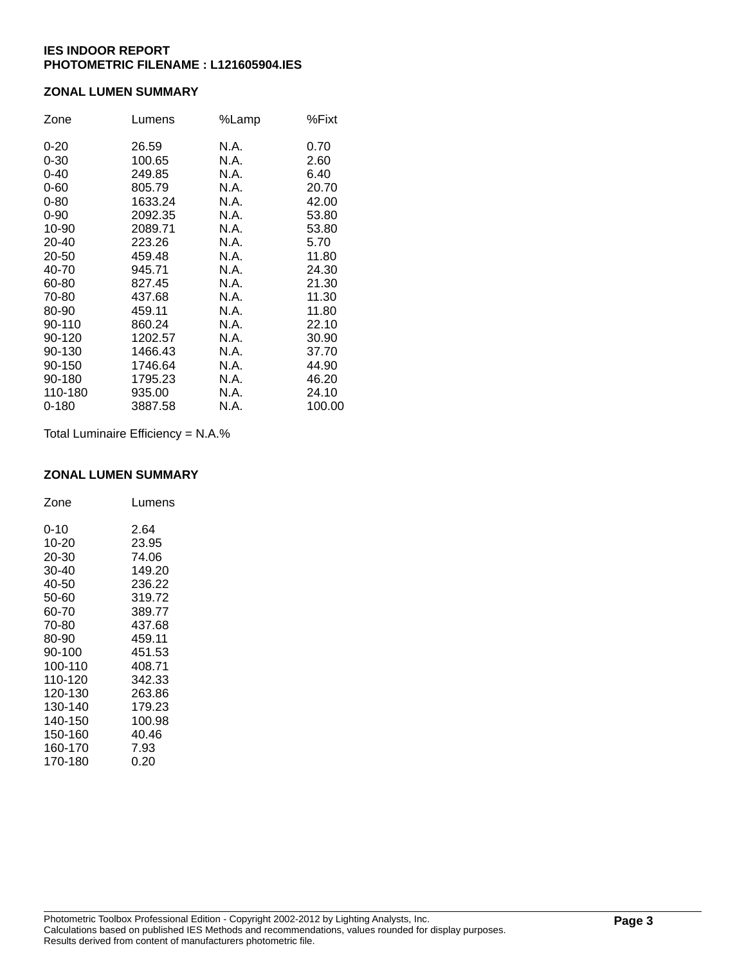## **ZONAL LUMEN SUMMARY**

| Zone      | Lumens  | %Lamp | %Fixt  |
|-----------|---------|-------|--------|
| $0 - 20$  | 26.59   | N.A.  | 0.70   |
| $0 - 30$  | 100.65  | N.A.  | 2.60   |
| $0 - 40$  | 249.85  | N.A.  | 6.40   |
| $0 - 60$  | 805.79  | N.A.  | 20.70  |
| $0 - 80$  | 1633.24 | N.A.  | 42.00  |
| $0 - 90$  | 2092.35 | N.A.  | 53.80  |
| 10-90     | 2089.71 | N.A.  | 53.80  |
| 20-40     | 223.26  | N.A.  | 5.70   |
| 20-50     | 459.48  | N.A.  | 11.80  |
| 40-70     | 945.71  | N.A.  | 24.30  |
| 60-80     | 827.45  | N.A.  | 21.30  |
| 70-80     | 437.68  | N.A.  | 11.30  |
| 80-90     | 459.11  | N.A.  | 11.80  |
| 90-110    | 860.24  | N.A.  | 22.10  |
| 90-120    | 1202.57 | N.A.  | 30.90  |
| 90-130    | 1466.43 | N.A.  | 37.70  |
| 90-150    | 1746.64 | N.A.  | 44.90  |
| 90-180    | 1795.23 | N.A.  | 46.20  |
| 110-180   | 935.00  | N.A.  | 24.10  |
| $0 - 180$ | 3887.58 | N.A.  | 100.00 |

Total Luminaire Efficiency = N.A.%

#### **ZONAL LUMEN SUMMARY**

| Zone    | Lumens |
|---------|--------|
| 0-10    | 2.64   |
| 10-20   | 23.95  |
| 20-30   | 74.06  |
| 30-40   | 149.20 |
| 40-50   | 236.22 |
| 50-60   | 319.72 |
| 60-70   | 389.77 |
| 70-80   | 437.68 |
| 80-90   | 459.11 |
| 90-100  | 451.53 |
| 100-110 | 408.71 |
| 110-120 | 342.33 |
| 120-130 | 263.86 |
| 130-140 | 179.23 |
| 140-150 | 100.98 |
| 150-160 | 40.46  |
| 160-170 | 7.93   |
| 170-180 | 0.20   |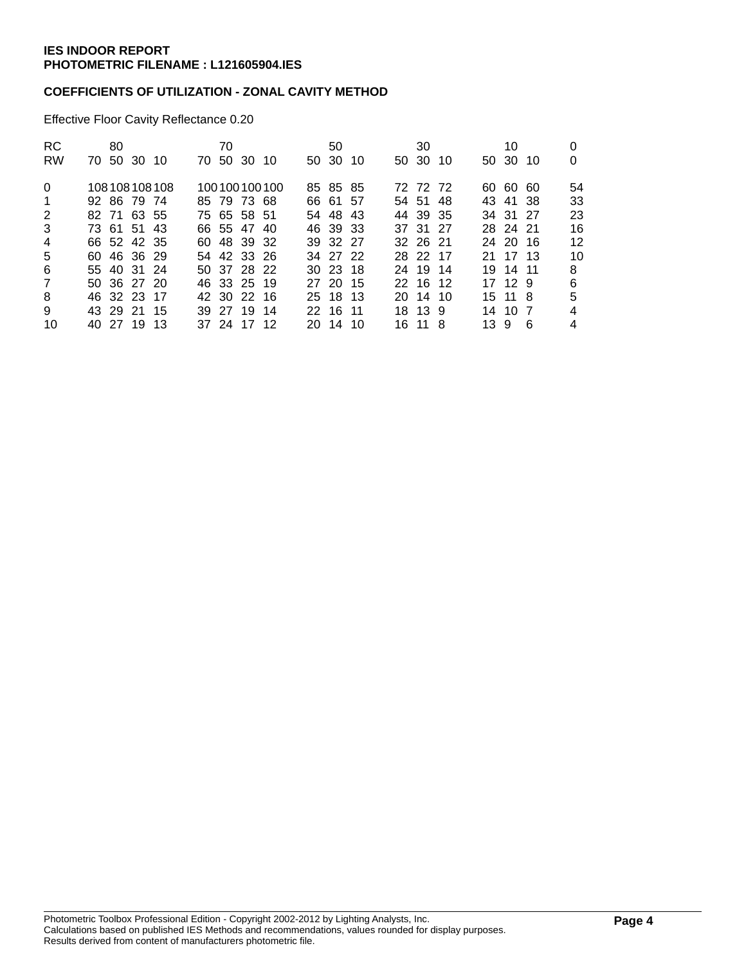## **COEFFICIENTS OF UTILIZATION - ZONAL CAVITY METHOD**

Effective Floor Cavity Reflectance 0.20

| <b>RC</b><br><b>RW</b>                           | 70 50 30 10                                                                                            | 80 |  | 70 | 70 50 30 10                                                                            |              | 50<br>50 30 10                                                                       |  | 30<br>50 30 10                                                                   |      | 10<br>50 30 10                                                                   |    | 0<br>0                                |
|--------------------------------------------------|--------------------------------------------------------------------------------------------------------|----|--|----|----------------------------------------------------------------------------------------|--------------|--------------------------------------------------------------------------------------|--|----------------------------------------------------------------------------------|------|----------------------------------------------------------------------------------|----|---------------------------------------|
| $\Omega$<br>$\mathbf 1$<br>2<br>3<br>4<br>5<br>6 | 108108108108<br>92 86 79 74<br>82 71 63 55<br>73 61 51 43<br>66 52 42 35<br>60 46 36 29<br>55 40 31 24 |    |  |    | 85 79 73 68<br>75 65 58 51<br>66 55 47 40<br>60 48 39 32<br>54 42 33 26<br>50 37 28 22 | 100100100100 | 85 85 85<br>66 61 57<br>54 48 43<br>46 39 33<br>39 32 27<br>34 27 22<br>$30\,23\,18$ |  | 72 72 72<br>54 51 48<br>44 39 35<br>37 31 27<br>32 26 21<br>28 22 17<br>24 19 14 |      | 60 60 60<br>43 41 38<br>34 31 27<br>28 24 21<br>24 20 16<br>21 17 13<br>19 14 11 |    | 54<br>33<br>23<br>16<br>12<br>10<br>8 |
| $\overline{7}$<br>8<br>9<br>10                   | 50 36 27 20<br>46 32 23 17<br>43 29 21 15<br>40 27 19 13                                               |    |  |    | 46 33 25 19<br>42 30 22 16<br>39 27 19 14<br>37 24 17 12                               |              | 27 20 15<br>25 18 13<br>22 16 11<br>20 14 10                                         |  | 22 16 12<br>20 14 10<br>18 13 9<br>16 11 8                                       | 13 9 | 17 12 9<br>15 11 8<br>14 10 7                                                    | -6 | 6<br>5<br>4<br>4                      |